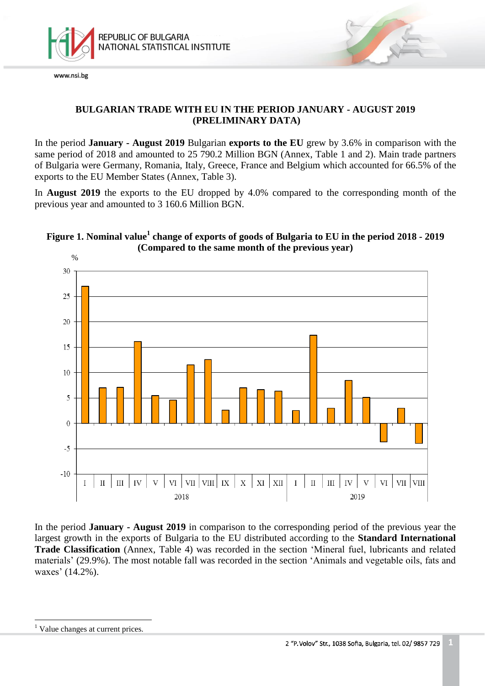

# **BULGARIAN TRADE WITH EU IN THE PERIOD JANUARY - AUGUST 2019 (PRELIMINARY DATA)**

In the period **January - August 2019** Bulgarian **exports to the EU** grew by 3.6% in comparison with the same period of 2018 and amounted to 25 790.2 Million BGN (Annex, Table 1 and 2). Main trade partners of Bulgaria were Germany, Romania, Italy, Greece, France and Belgium which accounted for 66.5% of the exports to the EU Member States (Annex, Table 3).

In **August 2019** the exports to the EU dropped by 4.0% compared to the corresponding month of the previous year and amounted to 3 160.6 Million BGN.

# **Figure 1. Nominal value<sup>1</sup> change of exports of goods of Bulgaria to EU in the period 2018 - 2019 (Compared to the same month of the previous year)**



In the period **January - August 2019** in comparison to the corresponding period of the previous year the largest growth in the exports of Bulgaria to the EU distributed according to the **Standard International Trade Classification** (Annex, Table 4) was recorded in the section 'Mineral fuel, lubricants and related materials' (29.9%). The most notable fall was recorded in the section 'Animals and vegetable oils, fats and waxes' (14.2%).

i<br>L

<sup>&</sup>lt;sup>1</sup> Value changes at current prices.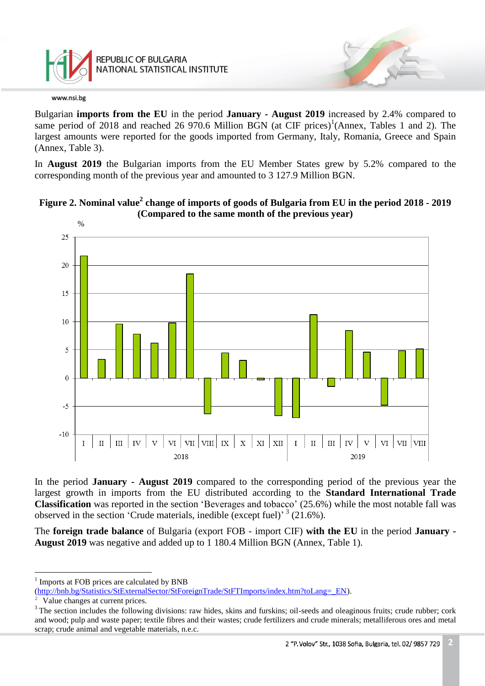

Bulgarian **imports from the EU** in the period **January - August 2019** increased by 2.4% compared to same period of 2018 and reached 26 970.6 Million BGN (at CIF prices)<sup>1</sup>(Annex, Tables 1 and 2). The largest amounts were reported for the goods imported from Germany, Italy, Romania, Greece and Spain (Annex, Table 3).

In **August 2019** the Bulgarian imports from the EU Member States grew by 5.2% compared to the corresponding month of the previous year and amounted to 3 127.9 Million BGN.



**Figure 2. Nominal value<sup>2</sup> change of imports of goods of Bulgaria from EU in the period 2018 - 2019 (Compared to the same month of the previous year)**

In the period **January - August 2019** compared to the corresponding period of the previous year the largest growth in imports from the EU distributed according to the **Standard International Trade Classification** was reported in the section 'Beverages and tobacco' (25.6%) while the most notable fall was observed in the section 'Crude materials, inedible (except fuel)<sup>3</sup> (21.6%).

The **foreign trade balance** of Bulgaria (export FOB - import CIF) **with the EU** in the period **January - August 2019** was negative and added up to 1 180.4 Million BGN (Annex, Table 1).

i<br>L

<sup>1</sup> Imports at FOB prices are calculated by BNB

[<sup>\(</sup>http://bnb.bg/Statistics/StExternalSector/StForeignTrade/StFTImports/index.htm?toLang=\\_EN\)](http://bnb.bg/Statistics/StExternalSector/StForeignTrade/StFTImports/index.htm?toLang=_EN).

Value changes at current prices.

<sup>&</sup>lt;sup>3</sup> The section includes the following divisions: raw hides, skins and furskins; oil-seeds and oleaginous fruits; crude rubber; cork and wood; pulp and waste paper; textile fibres and their wastes; crude fertilizers and crude minerals; metalliferous ores and metal scrap; crude animal and vegetable materials, n.e.c.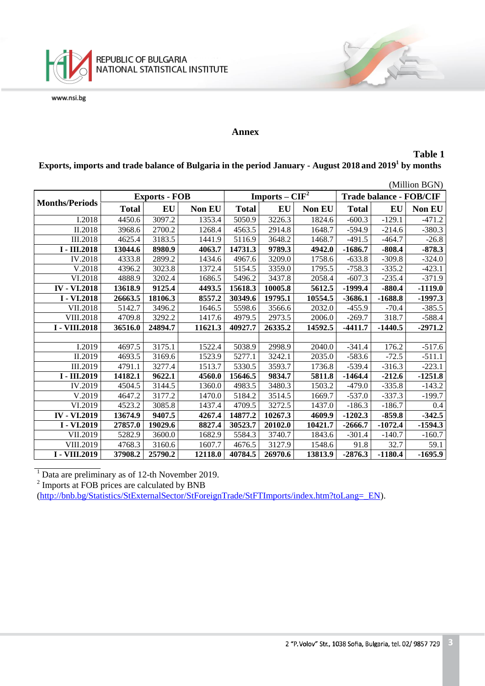

### **Annex**

### **Table 1**

**Exports, imports and trade balance of Bulgaria in the period January - August 2018 and 2019<sup>1</sup> by months**

| (Million BGN)         |              |                      |         |              |                  |         |                                |           |           |  |
|-----------------------|--------------|----------------------|---------|--------------|------------------|---------|--------------------------------|-----------|-----------|--|
|                       |              | <b>Exports - FOB</b> |         |              | Imports – $CIF2$ |         | <b>Trade balance - FOB/CIF</b> |           |           |  |
| <b>Months/Periods</b> | <b>Total</b> | EU                   | Non EU  | <b>Total</b> | EU               | Non EU  | <b>Total</b>                   | EU        | Non EU    |  |
| I.2018                | 4450.6       | 3097.2               | 1353.4  | 5050.9       | 3226.3           | 1824.6  | $-600.3$                       | $-129.1$  | $-471.2$  |  |
| II.2018               | 3968.6       | 2700.2               | 1268.4  | 4563.5       | 2914.8           | 1648.7  | $-594.9$                       | $-214.6$  | $-380.3$  |  |
| <b>III.2018</b>       | 4625.4       | 3183.5               | 1441.9  | 5116.9       | 3648.2           | 1468.7  | $-491.5$                       | $-464.7$  | $-26.8$   |  |
| I - III.2018          | 13044.6      | 8980.9               | 4063.7  | 14731.3      | 9789.3           | 4942.0  | -1686.7                        | -808.4    | $-878.3$  |  |
| <b>IV.2018</b>        | 4333.8       | 2899.2               | 1434.6  | 4967.6       | 3209.0           | 1758.6  | $-633.8$                       | $-309.8$  | $-324.0$  |  |
| V.2018                | 4396.2       | 3023.8               | 1372.4  | 5154.5       | 3359.0           | 1795.5  | $-758.3$                       | $-335.2$  | $-423.1$  |  |
| VI.2018               | 4888.9       | 3202.4               | 1686.5  | 5496.2       | 3437.8           | 2058.4  | $-607.3$                       | $-235.4$  | $-371.9$  |  |
| <b>IV - VI.2018</b>   | 13618.9      | 9125.4               | 4493.5  | 15618.3      | 10005.8          | 5612.5  | $-1999.4$                      | $-880.4$  | $-1119.0$ |  |
| I - VI.2018           | 26663.5      | 18106.3              | 8557.2  | 30349.6      | 19795.1          | 10554.5 | $-3686.1$                      | $-1688.8$ | $-1997.3$ |  |
| VII.2018              | 5142.7       | 3496.2               | 1646.5  | 5598.6       | 3566.6           | 2032.0  | $-455.9$                       | $-70.4$   | $-385.5$  |  |
| VIII.2018             | 4709.8       | 3292.2               | 1417.6  | 4979.5       | 2973.5           | 2006.0  | $-269.7$                       | 318.7     | $-588.4$  |  |
| I - VIII.2018         | 36516.0      | 24894.7              | 11621.3 | 40927.7      | 26335.2          | 14592.5 | $-4411.7$                      | $-1440.5$ | $-2971.2$ |  |
|                       |              |                      |         |              |                  |         |                                |           |           |  |
| I.2019                | 4697.5       | 3175.1               | 1522.4  | 5038.9       | 2998.9           | 2040.0  | $-341.4$                       | 176.2     | $-517.6$  |  |
| II.2019               | 4693.5       | 3169.6               | 1523.9  | 5277.1       | 3242.1           | 2035.0  | $-583.6$                       | $-72.5$   | $-511.1$  |  |
| III.2019              | 4791.1       | 3277.4               | 1513.7  | 5330.5       | 3593.7           | 1736.8  | $-539.4$                       | $-316.3$  | $-223.1$  |  |
| I - III.2019          | 14182.1      | 9622.1               | 4560.0  | 15646.5      | 9834.7           | 5811.8  | $-1464.4$                      | $-212.6$  | $-1251.8$ |  |
| IV.2019               | 4504.5       | 3144.5               | 1360.0  | 4983.5       | 3480.3           | 1503.2  | $-479.0$                       | $-335.8$  | $-143.2$  |  |
| V.2019                | 4647.2       | 3177.2               | 1470.0  | 5184.2       | 3514.5           | 1669.7  | $-537.0$                       | $-337.3$  | $-199.7$  |  |
| VI.2019               | 4523.2       | 3085.8               | 1437.4  | 4709.5       | 3272.5           | 1437.0  | $-186.3$                       | $-186.7$  | 0.4       |  |
| <b>IV - VI.2019</b>   | 13674.9      | 9407.5               | 4267.4  | 14877.2      | 10267.3          | 4609.9  | $-1202.3$                      | $-859.8$  | $-342.5$  |  |
| I - VI.2019           | 27857.0      | 19029.6              | 8827.4  | 30523.7      | 20102.0          | 10421.7 | $-2666.7$                      | $-1072.4$ | $-1594.3$ |  |
| VII.2019              | 5282.9       | 3600.0               | 1682.9  | 5584.3       | 3740.7           | 1843.6  | $-301.4$                       | $-140.7$  | $-160.7$  |  |
| VIII.2019             | 4768.3       | 3160.6               | 1607.7  | 4676.5       | 3127.9           | 1548.6  | 91.8                           | 32.7      | 59.1      |  |
| I - VIII.2019         | 37908.2      | 25790.2              | 12118.0 | 40784.5      | 26970.6          | 13813.9 | $-2876.3$                      | $-1180.4$ | $-1695.9$ |  |

 $\overline{1}$  Data are preliminary as of 12-th November 2019.

<sup>2</sup> Imports at FOB prices are calculated by BNB

[\(http://bnb.bg/Statistics/StExternalSector/StForeignTrade/StFTImports/index.htm?toLang=\\_EN\)](http://bnb.bg/Statistics/StExternalSector/StForeignTrade/StFTImports/index.htm?toLang=_EN).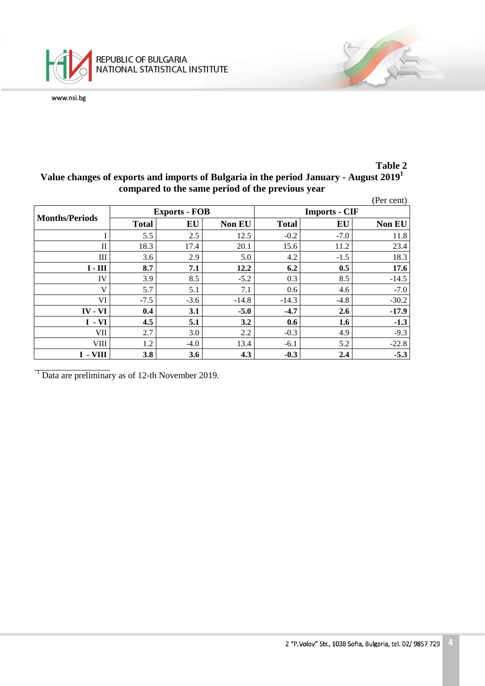

## **Table 2 Value changes of exports and imports of Bulgaria in the period January - August 2019<sup>1</sup> compared to the same period of the previous year**

|                       |              |                      |               |                      |        | (Per cent)    |  |  |
|-----------------------|--------------|----------------------|---------------|----------------------|--------|---------------|--|--|
| <b>Months/Periods</b> |              | <b>Exports - FOB</b> |               | <b>Imports - CIF</b> |        |               |  |  |
|                       | <b>Total</b> | EU                   | <b>Non EU</b> | <b>Total</b>         | EU     | <b>Non EU</b> |  |  |
|                       | 5.5          | 2.5                  | 12.5          | $-0.2$               | $-7.0$ | 11.8          |  |  |
| П                     | 18.3         | 17.4                 | 20.1          | 15.6                 | 11.2   | 23.4          |  |  |
| Ш                     | 3.6          | 2.9                  | 5.0           | 4.2                  | $-1.5$ | 18.3          |  |  |
| $I - III$             | 8.7          | 7.1                  | 12.2          | 6.2                  | 0.5    | 17.6          |  |  |
| IV                    | 3.9          | 8.5                  | $-5.2$        | 0.3                  | 8.5    | $-14.5$       |  |  |
| V                     | 5.7          | 5.1                  | 7.1           | 0.6                  | 4.6    | $-7.0$        |  |  |
| VI.                   | $-7.5$       | $-3.6$               | $-14.8$       | $-14.3$              | $-4.8$ | $-30.2$       |  |  |
| $IV - VI$             | 0.4          | 3.1                  | $-5.0$        | $-4.7$               | 2.6    | $-17.9$       |  |  |
| $I - VI$              | 4.5          | 5.1                  | 3.2           | 0.6                  | 1.6    | $-1.3$        |  |  |
| VII                   | 2.7          | 3.0                  | 2.2           | $-0.3$               | 4.9    | $-9.3$        |  |  |
| VIII                  | 1.2          | $-4.0$               | 13.4          | $-6.1$               | 5.2    | $-22.8$       |  |  |
| $I - VIII$            | 3.8          | 3.6                  | 4.3           | $-0.3$               | 2.4    | $-5.3$        |  |  |

<sup>1</sup> Data are preliminary as of 12-th November 2019.

E SE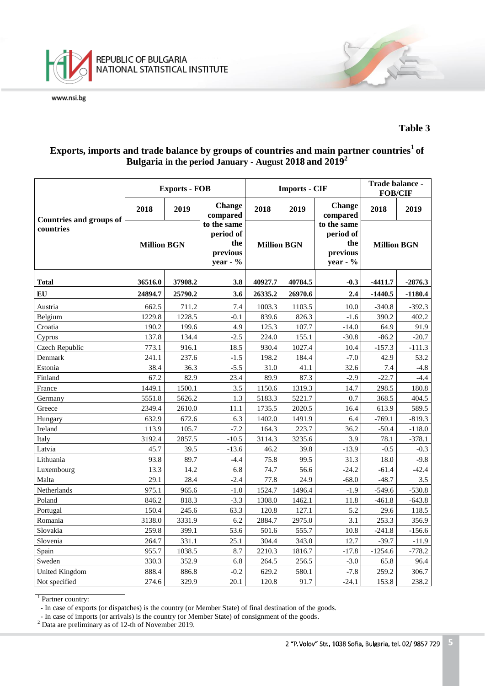

### **Table 3**

# **Exports, imports and trade balance by groups of countries and main partner countries<sup>1</sup>of Bulgaria in the period January - August 2018 and 2019 2**

|                                             |                    | <b>Exports - FOB</b> |                                                           |                    | <b>Imports - CIF</b> | Trade balance -<br><b>FOB/CIF</b>                         |                    |           |
|---------------------------------------------|--------------------|----------------------|-----------------------------------------------------------|--------------------|----------------------|-----------------------------------------------------------|--------------------|-----------|
| <b>Countries and groups of</b><br>countries | 2018               | 2019                 | <b>Change</b><br>compared                                 | 2018               | 2019                 | <b>Change</b><br>compared                                 | 2018               | 2019      |
|                                             | <b>Million BGN</b> |                      | to the same<br>period of<br>the<br>previous<br>year - $%$ | <b>Million BGN</b> |                      | to the same<br>period of<br>the<br>previous<br>year - $%$ | <b>Million BGN</b> |           |
| <b>Total</b>                                | 36516.0            | 37908.2              | 3.8                                                       | 40927.7            | 40784.5              | $-0.3$                                                    | $-4411.7$          | $-2876.3$ |
| EU                                          | 24894.7            | 25790.2              | 3.6                                                       | 26335.2            | 26970.6              | 2.4                                                       | $-1440.5$          | $-1180.4$ |
| Austria                                     | 662.5              | 711.2                | 7.4                                                       | 1003.3             | 1103.5               | 10.0                                                      | $-340.8$           | $-392.3$  |
| Belgium                                     | 1229.8             | 1228.5               | $-0.1$                                                    | 839.6              | 826.3                | $-1.6$                                                    | 390.2              | 402.2     |
| Croatia                                     | 190.2              | 199.6                | 4.9                                                       | 125.3              | 107.7                | $-14.0$                                                   | 64.9               | 91.9      |
| Cyprus                                      | 137.8              | 134.4                | $-2.5$                                                    | 224.0              | 155.1                | $-30.8$                                                   | $-86.2$            | $-20.7$   |
| Czech Republic                              | 773.1              | 916.1                | 18.5                                                      | 930.4              | 1027.4               | 10.4                                                      | $-157.3$           | $-111.3$  |
| Denmark                                     | 241.1              | 237.6                | $-1.5$                                                    | 198.2              | 184.4                | $-7.0$                                                    | 42.9               | 53.2      |
| Estonia                                     | 38.4               | 36.3                 | $-5.5$                                                    | 31.0               | 41.1                 | 32.6                                                      | 7.4                | $-4.8$    |
| Finland                                     | 67.2               | 82.9                 | 23.4                                                      | 89.9               | 87.3                 | $-2.9$                                                    | $-22.7$            | $-4.4$    |
| France                                      | 1449.1             | 1500.1               | 3.5                                                       | 1150.6             | 1319.3               | 14.7                                                      | 298.5              | 180.8     |
| Germany                                     | 5551.8             | 5626.2               | 1.3                                                       | 5183.3             | 5221.7               | 0.7                                                       | 368.5              | 404.5     |
| Greece                                      | 2349.4             | 2610.0               | 11.1                                                      | 1735.5             | 2020.5               | 16.4                                                      | 613.9              | 589.5     |
| Hungary                                     | 632.9              | 672.6                | 6.3                                                       | 1402.0             | 1491.9               | 6.4                                                       | $-769.1$           | $-819.3$  |
| Ireland                                     | 113.9              | 105.7                | $-7.2$                                                    | 164.3              | 223.7                | 36.2                                                      | $-50.4$            | $-118.0$  |
| Italy                                       | 3192.4             | 2857.5               | $-10.5$                                                   | 3114.3             | 3235.6               | 3.9                                                       | 78.1               | $-378.1$  |
| Latvia                                      | 45.7               | 39.5                 | $-13.6$                                                   | 46.2               | 39.8                 | $-13.9$                                                   | $-0.5$             | $-0.3$    |
| Lithuania                                   | 93.8               | 89.7                 | $-4.4$                                                    | 75.8               | 99.5                 | 31.3                                                      | 18.0               | $-9.8$    |
| Luxembourg                                  | 13.3               | 14.2                 | 6.8                                                       | 74.7               | 56.6                 | $-24.2$                                                   | $-61.4$            | $-42.4$   |
| Malta                                       | 29.1               | 28.4                 | $-2.4$                                                    | 77.8               | 24.9                 | $-68.0$                                                   | $-48.7$            | 3.5       |
| Netherlands                                 | 975.1              | 965.6                | $-1.0$                                                    | 1524.7             | 1496.4               | $-1.9$                                                    | $-549.6$           | $-530.8$  |
| Poland                                      | 846.2              | 818.3                | $-3.3$                                                    | 1308.0             | 1462.1               | 11.8                                                      | $-461.8$           | $-643.8$  |
| Portugal                                    | 150.4              | 245.6                | 63.3                                                      | 120.8              | 127.1                | 5.2                                                       | 29.6               | 118.5     |
| Romania                                     | 3138.0             | 3331.9               | 6.2                                                       | 2884.7             | 2975.0               | 3.1                                                       | 253.3              | 356.9     |
| Slovakia                                    | 259.8              | 399.1                | 53.6                                                      | 501.6              | 555.7                | 10.8                                                      | $-241.8$           | $-156.6$  |
| Slovenia                                    | 264.7              | 331.1                | 25.1                                                      | 304.4              | 343.0                | 12.7                                                      | $-39.7$            | $-11.9$   |
| Spain                                       | 955.7              | 1038.5               | 8.7                                                       | 2210.3             | 1816.7               | $-17.8$                                                   | $-1254.6$          | $-778.2$  |
| Sweden                                      | 330.3              | 352.9                | 6.8                                                       | 264.5              | 256.5                | $-3.0$                                                    | 65.8               | 96.4      |
| <b>United Kingdom</b>                       | 888.4              | 886.8                | $-0.2$                                                    | 629.2              | 580.1                | $-7.8$                                                    | 259.2              | 306.7     |
| Not specified                               | 274.6              | 329.9                | 20.1                                                      | 120.8              | 91.7                 | $-24.1$                                                   | 153.8              | 238.2     |

<sup>1</sup> Partner country:

- In case of exports (or dispatches) is the country (or Member State) of final destination of the goods.

- In case of imports (or arrivals) is the country (or Member State) of consignment of the goods.

 $2^2$  Data are preliminary as of 12-th of November 2019.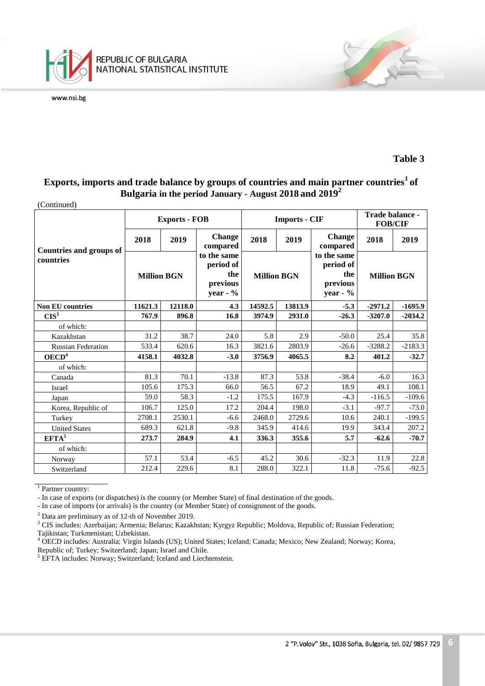

(Continued)

### **Table 3**

7

## **Exports, imports and trade balance by groups of countries and main partner countries<sup>1</sup>of Bulgaria in the period January - August 2018 and 2019<sup>2</sup>**

|                                |                    | <b>Exports - FOB</b> |                                                            |                    | <b>Imports - CIF</b> |                                                           | Trade balance -<br><b>FOB/CIF</b> |           |
|--------------------------------|--------------------|----------------------|------------------------------------------------------------|--------------------|----------------------|-----------------------------------------------------------|-----------------------------------|-----------|
| <b>Countries and groups of</b> | 2018               | 2019                 | <b>Change</b><br>compared                                  | 2018               | 2019                 | <b>Change</b><br>compared                                 | 2018                              | 2019      |
| countries                      | <b>Million BGN</b> |                      | to the same<br>period of<br>the<br>previous<br>year - $\%$ | <b>Million BGN</b> |                      | to the same<br>period of<br>the<br>previous<br>year - $%$ | <b>Million BGN</b>                |           |
| <b>Non EU countries</b>        | 11621.3<br>12118.0 |                      | 4.3                                                        | 14592.5            | 13813.9              | $-5.3$                                                    | $-2971.2$                         | $-1695.9$ |
| CIS <sup>3</sup>               | 767.9              | 896.8                | 16.8                                                       | 3974.9             | 2931.0               | $-26.3$                                                   | $-3207.0$                         | $-2034.2$ |
| of which:                      |                    |                      |                                                            |                    |                      |                                                           |                                   |           |
| Kazakhstan                     | 31.2               | 38.7                 | 24.0                                                       | 5.8                | 2.9                  | $-50.0$                                                   | 25.4                              | 35.8      |
| <b>Russian Federation</b>      | 533.4              | 620.6                | 16.3                                                       | 3821.6             | 2803.9               | $-26.6$                                                   | $-3288.2$                         | $-2183.3$ |
| OECD <sup>4</sup>              | 4158.1             | 4032.8               | $-3.0$                                                     | 3756.9             | 4065.5               | 8.2                                                       | 401.2                             | $-32.7$   |
| of which:                      |                    |                      |                                                            |                    |                      |                                                           |                                   |           |
| Canada                         | 81.3               | 70.1                 | $-13.8$                                                    | 87.3               | 53.8                 | $-38.4$                                                   | $-6.0$                            | 16.3      |
| Israel                         | 105.6              | 175.3                | 66.0                                                       | 56.5               | 67.2                 | 18.9                                                      | 49.1                              | 108.1     |
| Japan                          | 59.0               | 58.3                 | $-1.2$                                                     | 175.5              | 167.9                | $-4.3$                                                    | $-116.5$                          | $-109.6$  |
| Korea, Republic of             | 106.7              | 125.0                | 17.2                                                       | 204.4              | 198.0                | $-3.1$                                                    | $-97.7$                           | $-73.0$   |
| Turkey                         | 2708.1             | 2530.1               | $-6.6$                                                     | 2468.0             | 2729.6               | 10.6                                                      | 240.1                             | $-199.5$  |
| <b>United States</b>           | 689.3              | 621.8                | $-9.8$                                                     | 345.9              | 414.6                | 19.9                                                      | 343.4                             | 207.2     |
| EFTA <sup>5</sup>              | 273.7              | 284.9                | 4.1                                                        | 336.3              | 355.6                | 5.7                                                       | $-62.6$                           | $-70.7$   |
| of which:                      |                    |                      |                                                            |                    |                      |                                                           |                                   |           |
| Norway                         | 57.1               | 53.4                 | $-6.5$                                                     | 45.2               | 30.6                 | $-32.3$                                                   | 11.9                              | 22.8      |
| Switzerland                    | 212.4              | 229.6                | 8.1                                                        | 288.0              | 322.1                | 11.8                                                      | $-75.6$                           | $-92.5$   |

<sup>1</sup> Partner country:

- In case of exports (or dispatches) is the country (or Member State) of final destination of the goods.

- In case of imports (or arrivals) is the country (or Member State) of consignment of the goods.

<sup>2</sup> Data are preliminary as of 12-th of November 2019.

<sup>3</sup> CIS includes: Azerbaijan; Armenia; Belarus; Kazakhstan; Kyrgyz Republic; Moldova, Republic of; Russian Federation; Tajikistan; Turkmenistan; Uzbekistan.

<sup>4</sup> OECD includes: Australia; Virgin Islands (US); United States; Iceland; Canada; Mexico; New Zealand; Norway; Korea, Republic of; Turkey; Switzerland; Japan; Israel and Chile.

<sup>5</sup> EFTA includes: Norway; Switzerland; Iceland and Liechtenstein.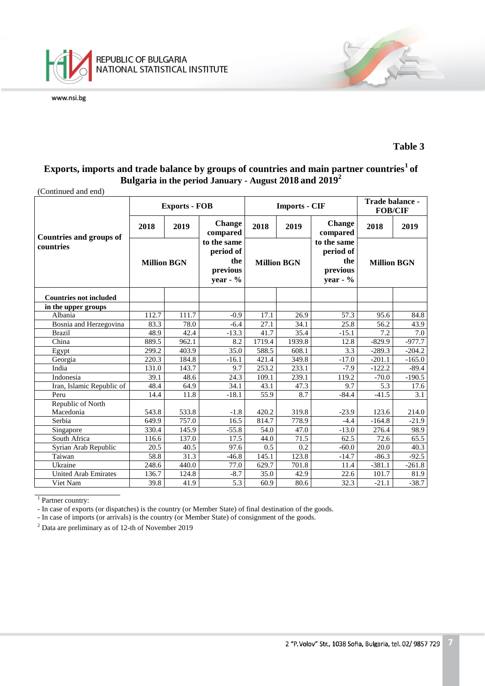

#### **Table 3**

7

# **Exports, imports and trade balance by groups of countries and main partner countries<sup>1</sup>of Bulgaria in the period January - August 2018 and 2019<sup>2</sup>**

(Continued and end)

|                                |                    | <b>Exports - FOB</b> |                                                           |                    | <b>Imports - CIF</b> | Trade balance -<br><b>FOB/CIF</b>                          |                    |          |
|--------------------------------|--------------------|----------------------|-----------------------------------------------------------|--------------------|----------------------|------------------------------------------------------------|--------------------|----------|
| <b>Countries and groups of</b> | 2018               | 2019                 | Change<br>compared                                        | 2018               | 2019                 | <b>Change</b><br>compared                                  | 2018               | 2019     |
| countries                      | <b>Million BGN</b> |                      | to the same<br>period of<br>the<br>previous<br>year - $%$ | <b>Million BGN</b> |                      | to the same<br>period of<br>the<br>previous<br>year - $\%$ | <b>Million BGN</b> |          |
| <b>Countries not included</b>  |                    |                      |                                                           |                    |                      |                                                            |                    |          |
| in the upper groups            |                    |                      |                                                           |                    |                      |                                                            |                    |          |
| Albania                        | 112.7              | 111.7                | $-0.9$                                                    | 17.1               | 26.9                 | 57.3                                                       | 95.6               | 84.8     |
| Bosnia and Herzegovina         | 83.3               | 78.0                 | $-6.4$                                                    | 27.1               | 34.1                 | 25.8                                                       | 56.2               | 43.9     |
| <b>Brazil</b>                  | 48.9               | 42.4                 | $-13.3$                                                   | 41.7               | 35.4                 | $-15.1$                                                    | 7.2                | 7.0      |
| China                          | 889.5              | 962.1                | 8.2                                                       | 1719.4             | 1939.8               | 12.8                                                       | $-829.9$           | $-977.7$ |
| Egypt                          | 299.2              | 403.9                | 35.0                                                      | 588.5              | 608.1                | 3.3                                                        | $-289.3$           | $-204.2$ |
| Georgia                        | 220.3              | 184.8                | $-16.1$                                                   | 421.4              | 349.8                | $-17.0$                                                    | $-201.1$           | $-165.0$ |
| India                          | 131.0              | 143.7                | 9.7                                                       | 253.2              | 233.1                | $-7.9$                                                     | $-122.2$           | $-89.4$  |
| Indonesia                      | 39.1               | 48.6                 | 24.3                                                      | 109.1              | 239.1                | 119.2                                                      | $-70.0$            | $-190.5$ |
| Iran, Islamic Republic of      | 48.4               | 64.9                 | 34.1                                                      | 43.1               | 47.3                 | 9.7                                                        | 5.3                | 17.6     |
| Peru                           | 14.4               | 11.8                 | $-18.1$                                                   | 55.9               | 8.7                  | $-84.4$                                                    | $-41.5$            | 3.1      |
| Republic of North              |                    |                      |                                                           |                    |                      |                                                            |                    |          |
| Macedonia                      | 543.8              | 533.8                | $-1.8$                                                    | 420.2              | 319.8                | $-23.9$                                                    | 123.6              | 214.0    |
| Serbia                         | 649.9              | 757.0                | 16.5                                                      | 814.7              | 778.9                | $-4.4$                                                     | $-164.8$           | $-21.9$  |
| Singapore                      | 330.4              | 145.9                | $-55.8$                                                   | 54.0               | 47.0                 | $-13.0$                                                    | 276.4              | 98.9     |
| South Africa                   | 116.6              | 137.0                | 17.5                                                      | 44.0               | 71.5                 | 62.5                                                       | 72.6               | 65.5     |
| Syrian Arab Republic           | 20.5               | 40.5                 | 97.6                                                      | 0.5                | 0.2                  | $-60.0$                                                    | 20.0               | 40.3     |
| Taiwan                         | 58.8               | 31.3                 | $-46.8$                                                   | 145.1              | 123.8                | $-14.7$                                                    | $-86.3$            | $-92.5$  |
| Ukraine                        | 248.6              | 440.0                | 77.0                                                      | 629.7              | 701.8                | 11.4                                                       | $-381.1$           | $-261.8$ |
| <b>United Arab Emirates</b>    | 136.7              | 124.8                | $-8.7$                                                    | 35.0               | 42.9                 | 22.6                                                       | 101.7              | 81.9     |
| Viet Nam                       | 39.8               | $\overline{41.9}$    | 5.3                                                       | 60.9               | $\overline{80.6}$    | 32.3                                                       | $-21.1$            | $-38.7$  |

<sup>1</sup> Partner country:

- In case of exports (or dispatches) is the country (or Member State) of final destination of the goods.

- In case of imports (or arrivals) is the country (or Member State) of consignment of the goods.

<sup>2</sup> Data are preliminary as of 12-th of November 2019